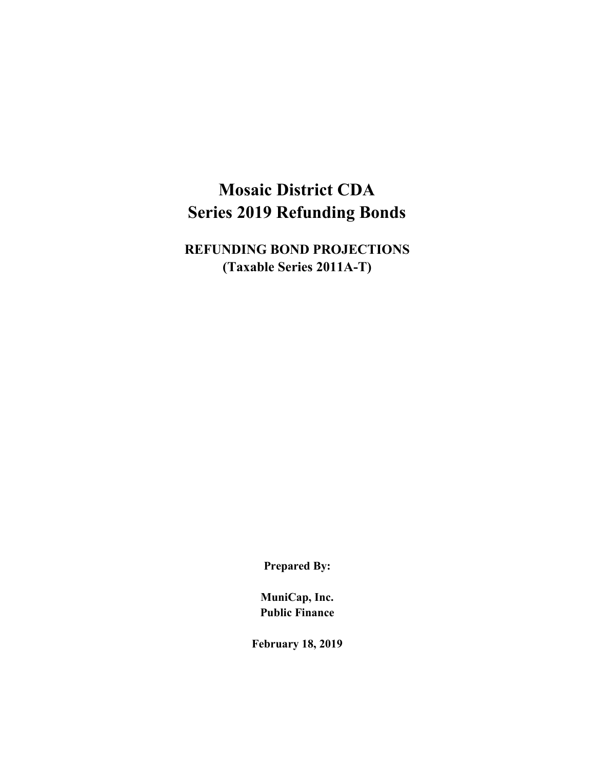**REFUNDING BOND PROJECTIONS (Taxable Series 2011A-T)**

**Prepared By:**

**MuniCap, Inc. Public Finance**

**February 18, 2019**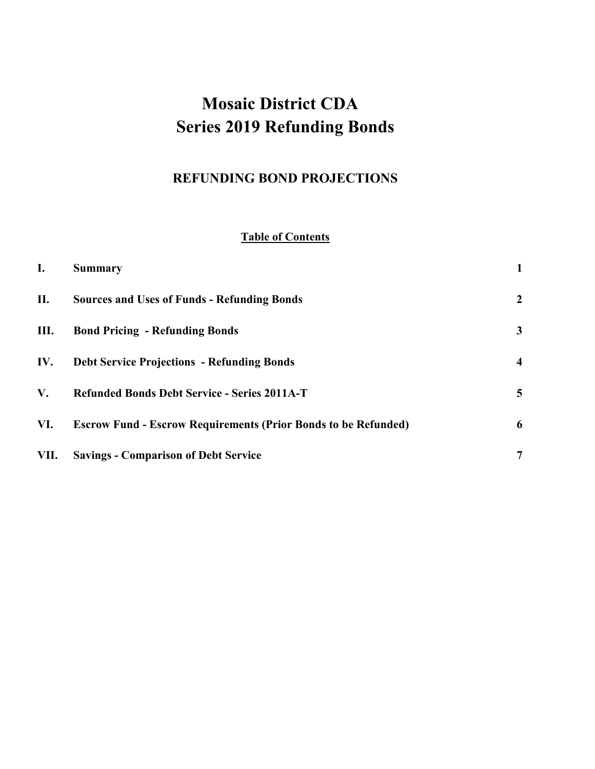# **Series 2019 Refunding Bonds Mosaic District CDA**

## **REFUNDING BOND PROJECTIONS**

### **Table of Contents**

| $\mathbf{I}$ . | <b>Summary</b>                                                        | 1                       |
|----------------|-----------------------------------------------------------------------|-------------------------|
| П.             | <b>Sources and Uses of Funds - Refunding Bonds</b>                    | $\boldsymbol{2}$        |
| Ш.             | <b>Bond Pricing - Refunding Bonds</b>                                 | 3                       |
| IV.            | <b>Debt Service Projections - Refunding Bonds</b>                     | $\overline{\mathbf{4}}$ |
| V.             | <b>Refunded Bonds Debt Service - Series 2011A-T</b>                   | 5                       |
| VI.            | <b>Escrow Fund - Escrow Requirements (Prior Bonds to be Refunded)</b> | 6                       |
| VII.           | <b>Savings - Comparison of Debt Service</b>                           | 7                       |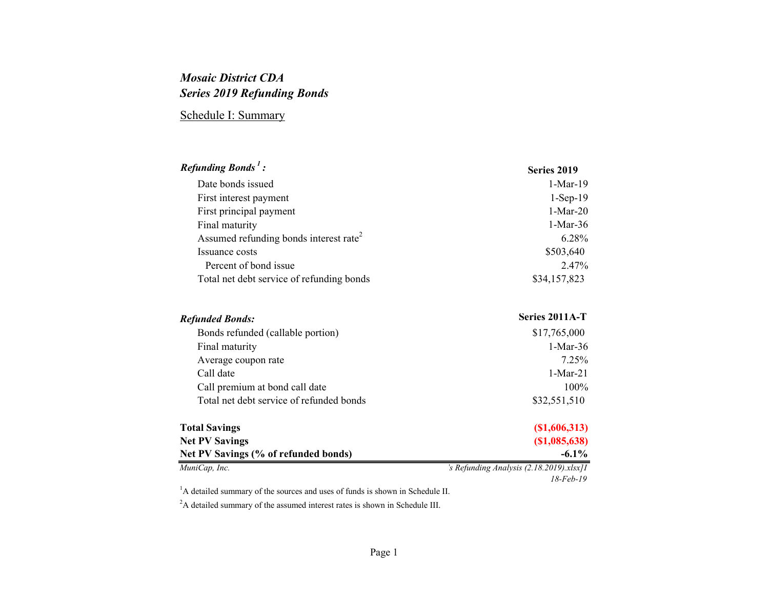# Schedule I: Summary

| Refunding Bonds <sup>1</sup> :                     | Series 2019    |  |  |
|----------------------------------------------------|----------------|--|--|
| Date bonds issued                                  | $1-Mar-19$     |  |  |
| First interest payment                             | $1-Sep-19$     |  |  |
| First principal payment                            | $1-Mar-20$     |  |  |
| Final maturity                                     | $1-Mar-36$     |  |  |
| Assumed refunding bonds interest rate <sup>2</sup> | 6.28%          |  |  |
| Issuance costs                                     | \$503,640      |  |  |
| Percent of bond issue                              | 2.47%          |  |  |
| Total net debt service of refunding bonds          | \$34,157,823   |  |  |
| <b>Refunded Bonds:</b>                             | Series 2011A-T |  |  |

| Refunueu Donus.                          | $501109$ 2011) $\pm$ |
|------------------------------------------|----------------------|
| Bonds refunded (callable portion)        | \$17,765,000         |
| Final maturity                           | $1-Mar-36$           |
| Average coupon rate                      | 7.25%                |
| Call date                                | $1-Mar-21$           |
| Call premium at bond call date           | $100\%$              |
| Total net debt service of refunded bonds | \$32,551,510         |
| <b>Total Savings</b>                     | (S1,606,313)         |

| <b>TULAI</b> DAVIIIES                | 141,000,010                                 |
|--------------------------------------|---------------------------------------------|
| <b>Net PV Savings</b>                | (S1,085,638)                                |
| Net PV Savings (% of refunded bonds) | $-6.1\%$                                    |
| MuniCap, Inc.                        | 's Refunding Analysis $(2.18.2019)$ .xlsx]I |

*ds Refunding Analysis (2.18.2019).xlsx]I*

*18-Feb-19*

<sup>1</sup>A detailed summary of the sources and uses of funds is shown in Schedule II.

 $2A$  detailed summary of the assumed interest rates is shown in Schedule III.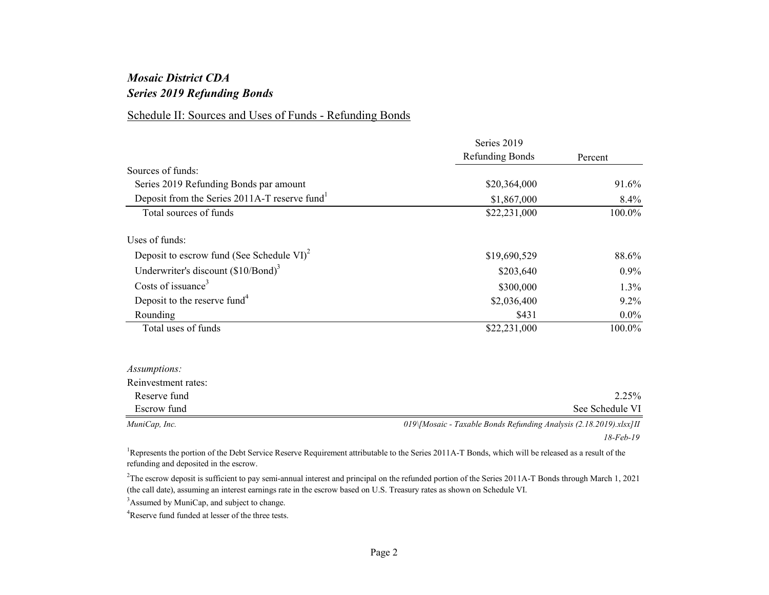#### Schedule II: Sources and Uses of Funds - Refunding Bonds

|                                                       | Series 2019            |                 |
|-------------------------------------------------------|------------------------|-----------------|
|                                                       | <b>Refunding Bonds</b> | Percent         |
| Sources of funds:                                     |                        |                 |
| Series 2019 Refunding Bonds par amount                | \$20,364,000           | 91.6%           |
| Deposit from the Series 2011A-T reserve fund          | \$1,867,000            | 8.4%            |
| Total sources of funds                                | \$22,231,000           | 100.0%          |
| Uses of funds:                                        |                        |                 |
| Deposit to escrow fund (See Schedule VI) <sup>2</sup> | \$19,690,529           | 88.6%           |
| Underwriter's discount $(\$10/Bond)^3$                | \$203,640              | $0.9\%$         |
| Costs of issuance <sup>3</sup>                        | \$300,000              | 1.3%            |
| Deposit to the reserve fund <sup>4</sup>              | \$2,036,400            | 9.2%            |
| Rounding                                              | \$431                  | $0.0\%$         |
| Total uses of funds                                   | \$22,231,000           | 100.0%          |
| Assumptions:                                          |                        |                 |
| Reinvestment rates:                                   |                        |                 |
| Reserve fund                                          |                        | 2.25%           |
| Escrow fund                                           |                        | See Schedule VI |

*MuniCap, Inc. 019\[Mosaic - Taxable Bonds Refunding Analysis (2.18.2019).xlsx]II*

*18-Feb-19*

<sup>1</sup>Represents the portion of the Debt Service Reserve Requirement attributable to the Series 2011A-T Bonds, which will be released as a result of the refunding and deposited in the escrow.

<sup>2</sup>The escrow deposit is sufficient to pay semi-annual interest and principal on the refunded portion of the Series  $2011A-T$  Bonds through March 1, 2021 (the call date), assuming an interest earnings rate in the escrow based on U.S. Treasury rates as shown on Schedule VI.

<sup>3</sup>Assumed by MuniCap, and subject to change.

<sup>4</sup>Reserve fund funded at lesser of the three tests.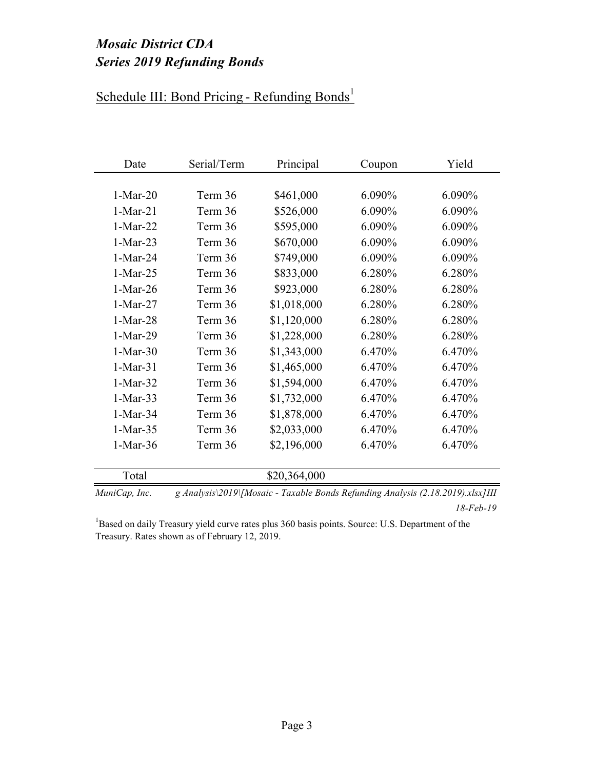### Schedule III: Bond Pricing - Refunding Bonds<sup>1</sup>

| Date       | Serial/Term |              | Coupon | Yield  |
|------------|-------------|--------------|--------|--------|
|            |             |              |        |        |
| $1-Mar-20$ | Term 36     | \$461,000    | 6.090% | 6.090% |
| $1-Mar-21$ | Term 36     | \$526,000    | 6.090% | 6.090% |
| $1-Mar-22$ | Term 36     | \$595,000    | 6.090% | 6.090% |
| $1-Mar-23$ | Term 36     | \$670,000    | 6.090% | 6.090% |
| $1-Mar-24$ | Term 36     | \$749,000    | 6.090% | 6.090% |
| $1-Mar-25$ | Term 36     | \$833,000    | 6.280% | 6.280% |
| $1-Mar-26$ | Term 36     | \$923,000    | 6.280% | 6.280% |
| $1-Mar-27$ | Term 36     | \$1,018,000  | 6.280% | 6.280% |
| $1-Mar-28$ | Term 36     | \$1,120,000  | 6.280% | 6.280% |
| 1-Mar-29   | Term 36     | \$1,228,000  | 6.280% | 6.280% |
| $1-Mar-30$ | Term 36     | \$1,343,000  | 6.470% | 6.470% |
| $1-Mar-31$ | Term 36     | \$1,465,000  | 6.470% | 6.470% |
| $1-Mar-32$ | Term 36     | \$1,594,000  | 6.470% | 6.470% |
| $1-Mar-33$ | Term 36     | \$1,732,000  | 6.470% | 6.470% |
| 1-Mar-34   | Term 36     | \$1,878,000  | 6.470% | 6.470% |
| 1-Mar-35   | Term 36     | \$2,033,000  | 6.470% | 6.470% |
| $1-Mar-36$ | Term 36     | \$2,196,000  | 6.470% | 6.470% |
|            |             |              |        |        |
| Total      |             | \$20,364,000 |        |        |

*MuniCap, Inc. g Analysis\2019\[Mosaic - Taxable Bonds Refunding Analysis (2.18.2019).xlsx]III*

*18-Feb-19*

<sup>1</sup>Based on daily Treasury yield curve rates plus 360 basis points. Source: U.S. Department of the Treasury. Rates shown as of February 12, 2019.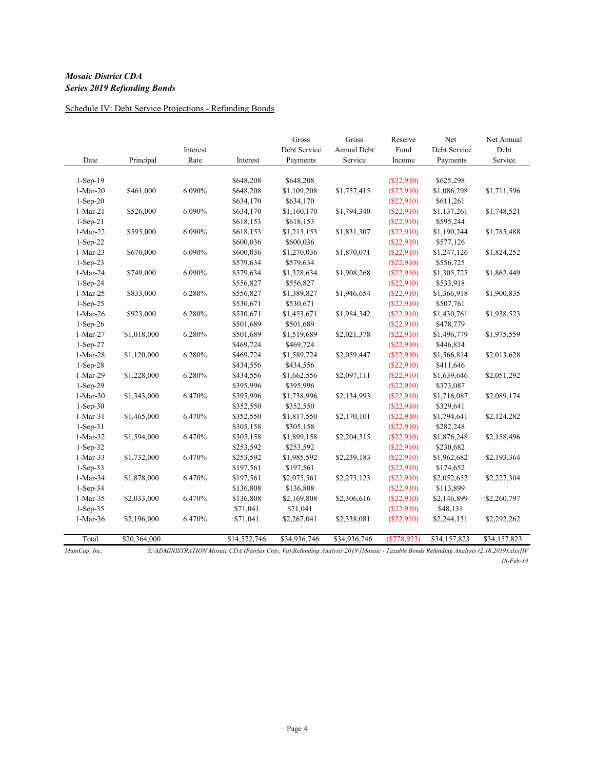#### Schedule IV: Debt Service Projections - Refunding Bonds

|                  |              | Interest |              | Gross<br>Debt Service | Gross<br>Annual Debt | Reserve<br>Fund | Net<br>Debt Service | Net Annual<br>Debt |
|------------------|--------------|----------|--------------|-----------------------|----------------------|-----------------|---------------------|--------------------|
| Date             | Principal    | Rate     | Interest     | Payments              | Service              | Income          | Payments            | Service            |
| 1-Sep-19         |              |          | \$648,208    | \$648,208             |                      | (\$22,910)      | \$625,298           |                    |
| $1-Mar-20$       | \$461,000    | 6.090%   | \$648,208    | \$1,109,208           | \$1,757,415          | (\$22,910)      | \$1,086,298         | \$1,711,596        |
| $1-Sep-20$       |              |          | \$634,170    | \$634,170             |                      | (\$22,910)      | \$611,261           |                    |
| $1$ -Mar-21 $\,$ | \$526,000    | 6.090%   | \$634,170    | \$1,160,170           | \$1,794,340          | (\$22,910)      | \$1,137,261         | \$1,748,521        |
| $1-Sep-21$       |              |          | \$618,153    | \$618,153             |                      | (\$22,910)      | \$595,244           |                    |
| $1-Mar-22$       | \$595,000    | 6.090%   | \$618,153    | \$1,213,153           | \$1,831,307          | (\$22,910)      | \$1,190,244         | \$1,785,488        |
| 1-Sep-22         |              |          | \$600,036    | \$600,036             |                      | (\$22,910)      | \$577,126           |                    |
| $1-Mar-23$       | \$670,000    | 6.090%   | \$600,036    | \$1,270,036           | \$1,870,071          | (\$22,910)      | \$1,247,126         | \$1,824,252        |
| $1-Sep-23$       |              |          | \$579,634    | \$579,634             |                      | (\$22,910)      | \$556,725           |                    |
| $1-Mar-24$       | \$749,000    | 6.090%   | \$579,634    | \$1,328,634           | \$1,908,268          | (\$22,910)      | \$1,305,725         | \$1,862,449        |
| 1-Sep-24         |              |          | \$556,827    | \$556,827             |                      | (\$22,910)      | \$533,918           |                    |
| $1-Mar-25$       | \$833,000    | 6.280%   | \$556,827    | \$1,389,827           | \$1,946,654          | (\$22,910)      | \$1,366,918         | \$1,900,835        |
| 1-Sep-25         |              |          | \$530,671    | \$530,671             |                      | (\$22,910)      | \$507,761           |                    |
| $1-Mar-26$       | \$923,000    | 6.280%   | \$530,671    | \$1,453,671           | \$1,984,342          | (\$22,910)      | \$1,430,761         | \$1,938,523        |
| 1-Sep-26         |              |          | \$501,689    | \$501,689             |                      | (\$22,910)      | \$478,779           |                    |
| $1-Mar-27$       | \$1,018,000  | 6.280%   | \$501,689    | \$1,519,689           | \$2,021,378          | (\$22,910)      | \$1,496,779         | \$1,975,559        |
| $1-Sep-27$       |              |          | \$469,724    | \$469,724             |                      | (\$22,910)      | \$446,814           |                    |
| $1-Mar-28$       | \$1,120,000  | 6.280%   | \$469,724    | \$1,589,724           | \$2,059,447          | (\$22,910)      | \$1,566,814         | \$2,013,628        |
| $1-Sep-28$       |              |          | \$434,556    | \$434,556             |                      | (\$22,910)      | \$411,646           |                    |
| $1-Mar-29$       | \$1,228,000  | 6.280%   | \$434,556    | \$1,662,556           | \$2,097,111          | (\$22,910)      | \$1,639,646         | \$2,051,292        |
| 1-Sep-29         |              |          | \$395,996    | \$395,996             |                      | (\$22,910)      | \$373,087           |                    |
| $1-Mar-30$       | \$1,343,000  | 6.470%   | \$395,996    | \$1,738,996           | \$2,134,993          | (\$22,910)      | \$1,716,087         | \$2,089,174        |
| $1-Sep-30$       |              |          | \$352,550    | \$352,550             |                      | (\$22,910)      | \$329,641           |                    |
| $1-Mar-31$       | \$1,465,000  | 6.470%   | \$352,550    | \$1,817,550           | \$2,170,101          | (\$22,910)      | \$1,794,641         | \$2,124,282        |
| $1-Sep-31$       |              |          | \$305,158    | \$305,158             |                      | (\$22,910)      | \$282,248           |                    |
| $1-Mar-32$       | \$1,594,000  | 6.470%   | \$305,158    | \$1,899,158           | \$2,204,315          | (\$22,910)      | \$1,876,248         | \$2,158,496        |
| $1-Sep-32$       |              |          | \$253,592    | \$253,592             |                      | (\$22,910)      | \$230,682           |                    |
| $1-Mar-33$       | \$1,732,000  | 6.470%   | \$253,592    | \$1,985,592           | \$2,239,183          | (\$22,910)      | \$1,962,682         | \$2,193,364        |
| 1-Sep-33         |              |          | \$197,561    | \$197,561             |                      | (\$22,910)      | \$174,652           |                    |
| 1-Mar-34         | \$1,878,000  | 6.470%   | \$197,561    | \$2,075,561           | \$2,273,123          | (\$22,910)      | \$2,052,652         | \$2,227,304        |
| $1-Sep-34$       |              |          | \$136,808    | \$136,808             |                      | (\$22,910)      | \$113,899           |                    |
| $1-Mar-35$       | \$2,033,000  | 6.470%   | \$136,808    | \$2,169,808           | \$2,306,616          | (\$22,910)      | \$2,146,899         | \$2,260,797        |
| $1-Sep-35$       |              |          | \$71,041     | \$71,041              |                      | (\$22,910)      | \$48,131            |                    |
| $1-Mar-36$       | \$2,196,000  | 6.470%   | \$71,041     | \$2,267,041           | \$2,338,081          | $(\$22,910)$    | \$2,244,131         | \$2,292,262        |
|                  |              |          |              |                       |                      |                 |                     |                    |
| Total            | \$20,364,000 |          | \$14,572,746 | \$34,936,746          | \$34,936,746         | (\$778,923)     | \$34,157,823        | \$34,157,823       |

*MuniCap, Inc. S:\ADMINISTRATION\Mosaic CDA (Fairfax Cnty, Va)\Refunding Analysis\2019\[Mosaic - Taxable Bonds Refunding Analysis (2.18.2019).xlsx]IV 18-Feb-19*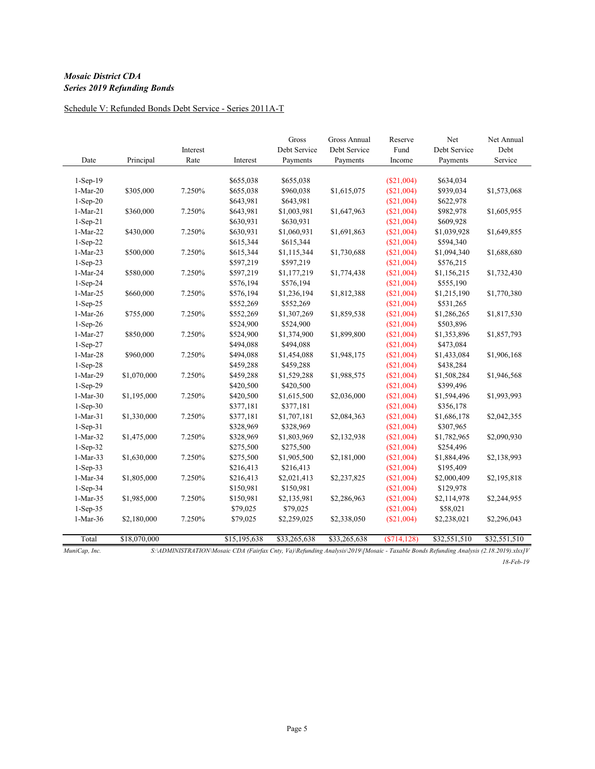#### Schedule V: Refunded Bonds Debt Service - Series 2011A-T

|            |              |          |              | Gross        | <b>Gross Annual</b> | Reserve       | Net          | Net Annual   |
|------------|--------------|----------|--------------|--------------|---------------------|---------------|--------------|--------------|
|            |              | Interest |              | Debt Service | Debt Service        | Fund          | Debt Service | Debt         |
| Date       | Principal    | Rate     | Interest     | Payments     | Payments            | Income        | Payments     | Service      |
|            |              |          |              |              |                     |               |              |              |
| $1-Sep-19$ |              |          | \$655,038    | \$655,038    |                     | (\$21,004)    | \$634,034    |              |
| $1-Mar-20$ | \$305,000    | 7.250%   | \$655,038    | \$960,038    | \$1,615,075         | (\$21,004)    | \$939,034    | \$1,573,068  |
| $1-Sep-20$ |              |          | \$643,981    | \$643,981    |                     | (\$21,004)    | \$622,978    |              |
| $1-Mar-21$ | \$360,000    | 7.250%   | \$643,981    | \$1,003,981  | \$1,647,963         | (\$21,004)    | \$982,978    | \$1,605,955  |
| $1-Sep-21$ |              |          | \$630,931    | \$630,931    |                     | (\$21,004)    | \$609,928    |              |
| 1-Mar-22   | \$430,000    | 7.250%   | \$630,931    | \$1,060,931  | \$1,691,863         | (\$21,004)    | \$1,039,928  | \$1,649,855  |
| 1-Sep-22   |              |          | \$615,344    | \$615,344    |                     | $(\$21,004)$  | \$594,340    |              |
| $1-Mar-23$ | \$500,000    | 7.250%   | \$615,344    | \$1,115,344  | \$1,730,688         | (\$21,004)    | \$1,094,340  | \$1,688,680  |
| $1-Sep-23$ |              |          | \$597,219    | \$597,219    |                     | (\$21,004)    | \$576,215    |              |
| $1-Mar-24$ | \$580,000    | 7.250%   | \$597,219    | \$1,177,219  | \$1,774,438         | $(\$21,004)$  | \$1,156,215  | \$1,732,430  |
| $1-Sep-24$ |              |          | \$576,194    | \$576,194    |                     | (\$21,004)    | \$555,190    |              |
| 1-Mar-25   | \$660,000    | 7.250%   | \$576,194    | \$1,236,194  | \$1,812,388         | $(\$21,004)$  | \$1,215,190  | \$1,770,380  |
| $1-Sep-25$ |              |          | \$552,269    | \$552,269    |                     | (\$21,004)    | \$531,265    |              |
| 1-Mar-26   | \$755,000    | 7.250%   | \$552,269    | \$1,307,269  | \$1,859,538         | (\$21,004)    | \$1,286,265  | \$1,817,530  |
| 1-Sep-26   |              |          | \$524,900    | \$524,900    |                     | (\$21,004)    | \$503,896    |              |
| 1-Mar-27   | \$850,000    | 7.250%   | \$524,900    | \$1,374,900  | \$1,899,800         | (\$21,004)    | \$1,353,896  | \$1,857,793  |
| $1-Sep-27$ |              |          | \$494,088    | \$494,088    |                     | $(\$21,004)$  | \$473,084    |              |
| $1-Mar-28$ | \$960,000    | 7.250%   | \$494,088    | \$1,454,088  | \$1,948,175         | (\$21,004)    | \$1,433,084  | \$1,906,168  |
| $1-Sep-28$ |              |          | \$459,288    | \$459,288    |                     | $(\$21,004)$  | \$438,284    |              |
| 1-Mar-29   | \$1,070,000  | 7.250%   | \$459,288    | \$1,529,288  | \$1,988,575         | (\$21,004)    | \$1,508,284  | \$1,946,568  |
| 1-Sep-29   |              |          | \$420,500    | \$420,500    |                     | (\$21,004)    | \$399,496    |              |
| $1-Mar-30$ | \$1,195,000  | 7.250%   | \$420,500    | \$1,615,500  | \$2,036,000         | $(\$21,004)$  | \$1,594,496  | \$1,993,993  |
| $1-Sep-30$ |              |          | \$377,181    | \$377,181    |                     | (\$21,004)    | \$356,178    |              |
| $1-Mar-31$ | \$1,330,000  | 7.250%   | \$377,181    | \$1,707,181  | \$2,084,363         | (\$21,004)    | \$1,686,178  | \$2,042,355  |
| $1-Sep-31$ |              |          | \$328,969    | \$328,969    |                     | (\$21,004)    | \$307,965    |              |
| 1-Mar-32   | \$1,475,000  | 7.250%   | \$328,969    | \$1,803,969  | \$2,132,938         | (\$21,004)    | \$1,782,965  | \$2,090,930  |
| $1-Sep-32$ |              |          | \$275,500    | \$275,500    |                     | (\$21,004)    | \$254,496    |              |
| 1-Mar-33   | \$1,630,000  | 7.250%   | \$275,500    | \$1,905,500  | \$2,181,000         | (\$21,004)    | \$1,884,496  | \$2,138,993  |
| $1-Sep-33$ |              |          | \$216,413    | \$216,413    |                     | $(\$21,004)$  | \$195,409    |              |
| 1-Mar-34   | \$1,805,000  | 7.250%   | \$216,413    | \$2,021,413  | \$2,237,825         | (\$21,004)    | \$2,000,409  | \$2,195,818  |
| $1-Sep-34$ |              |          | \$150,981    | \$150,981    |                     | $(\$21,004)$  | \$129,978    |              |
| 1-Mar-35   | \$1,985,000  | 7.250%   | \$150,981    | \$2,135,981  | \$2,286,963         | $(\$21,004)$  | \$2,114,978  | \$2,244,955  |
| $1-Sep-35$ |              |          | \$79,025     | \$79,025     |                     | (\$21,004)    | \$58,021     |              |
| 1-Mar-36   | \$2,180,000  | 7.250%   | \$79,025     | \$2,259,025  | \$2,338,050         | (\$21,004)    | \$2,238,021  | \$2,296,043  |
|            |              |          |              |              |                     |               |              |              |
| Total      | \$18,070,000 |          | \$15,195,638 | \$33,265,638 | \$33,265,638        | ( \$714, 128) | \$32,551,510 | \$32,551,510 |

*MuniCap, Inc. S:\ADMINISTRATION\Mosaic CDA (Fairfax Cnty, Va)\Refunding Analysis\2019\[Mosaic - Taxable Bonds Refunding Analysis (2.18.2019).xlsx]V 18-Feb-19*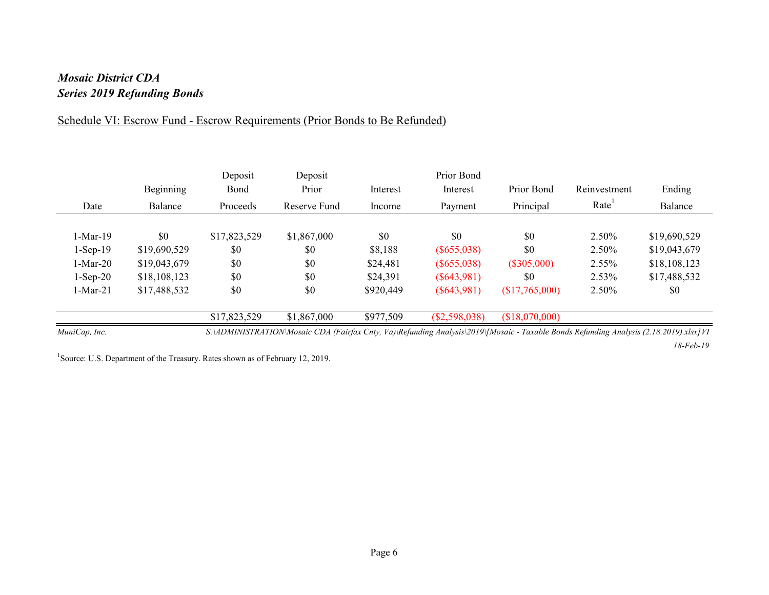### Schedule VI: Escrow Fund - Escrow Requirements (Prior Bonds to Be Refunded)

| Beginning    | Deposit<br>Bond | Deposit<br>Prior | Interest  | Prior Bond<br>Interest | Prior Bond     | Reinvestment      | Ending       |
|--------------|-----------------|------------------|-----------|------------------------|----------------|-------------------|--------------|
| Balance      | Proceeds        | Reserve Fund     | Income    | Payment                | Principal      | Rate <sup>1</sup> | Balance      |
|              |                 |                  |           |                        |                |                   |              |
| \$0          | \$17,823,529    | \$1,867,000      | \$0       | \$0                    | \$0            | $2.50\%$          | \$19,690,529 |
| \$19,690,529 | \$0             | \$0              | \$8,188   | $(\$655,038)$          | \$0            | 2.50%             | \$19,043,679 |
| \$19,043,679 | \$0             | \$0              | \$24,481  | $(\$655,038)$          | $(\$305,000)$  | $2.55\%$          | \$18,108,123 |
| \$18,108,123 | \$0             | \$0              | \$24,391  | $(\$643,981)$          | \$0            | 2.53%             | \$17,488,532 |
| \$17,488,532 | \$0             | \$0              | \$920,449 | $(\$643,981)$          | \$17,765,000   | 2.50%             | \$0          |
|              | \$17,823,529    | \$1,867,000      | \$977,509 | $(\$2,598,038)$        | (\$18,070,000) |                   |              |
|              |                 |                  |           |                        |                |                   |              |

*MuniCap, Inc. S:\ADMINISTRATION\Mosaic CDA (Fairfax Cnty, Va)\Refunding Analysis\2019\[Mosaic - Taxable Bonds Refunding Analysis (2.18.2019).xlsx]VI 18-Feb-19*

<sup>1</sup>Source: U.S. Department of the Treasury. Rates shown as of February 12, 2019.